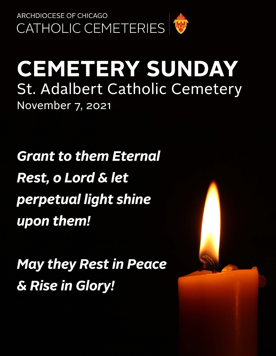

# **CEMETERY SUNDAY St. Adalbert Catholic Cemetery** November 7, 2021

**Grant to them Eternal Rest, o Lord & let** perpetual light shine upon them!

**May they Rest in Peace** & Rise in Glory!

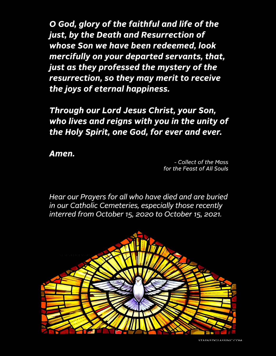O God, glory of the faithful and life of the just, by the Death and Resurrection of whose Son we have been redeemed, look mercifully on your departed servants, that, just as they professed the mystery of the resurrection, so they may merit to receive the joys of eternal happiness.

Through our Lord Jesus Christ, your Son, who lives and reigns with you in the unity of the Holy Spirit, one God, for ever and ever.

Amen.

- Collect of the Mass for the Feast of All Souls

Hear our Prayers for all who have died and are buried in our Catholic Cemeteries, especially those recently interred from October 15, 2020 to October 15, 2021.

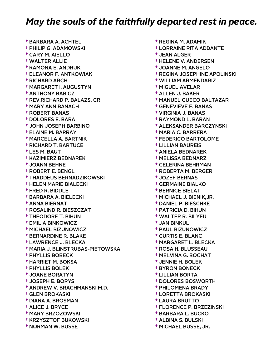† BARBARA A. ACHTEL † PHILIP G. ADAMOWSKI † CARY M. AIELLO † WALTER ALLIE † RAMONA E. ANDRUK † ELEANOR F. ANTKOWIAK † RICHARD ARCH † MARGARET I. AUGUSTYN † ANTHONY BABICZ † REV.RICHARD P. BALAZS, CR † MARY ANN BANACH † ROBERT BANAS † DOLORES E. BARA † JOHN JOSEPH BARBINO † ELAINE M. BARRAY † MARCELLA A. BARTNIK † RICHARD T. BARTUCE † LES M. BAUT † KAZIMIERZ BEDNAREK † JOANN BEHNE † ROBERT E. BENGL † THADDEUS BERNADZIKOWSKI † HELEN MARIE BIALECKI † FRED R. BIDDLE † BARBARA A. BIELECKI † ANNA BIERNAT † ROSALIND R. BIESZCZAT † THEODORE T. BIHUN † EMILIA BINKOWICZ † MICHAEL BIZUNOWICZ † BERNARDINE R. BLAKE † LAWRENCE J. BLECKA † MARIA J. BLINSTRUBAS-PIETOWSKA † PHYLLIS BOBECK † HARRIET M. BOKSA † PHYLLIS BOLEK † JOANE BORATYN † JOSEPH E. BORYS † ANDREW V. BRACHMANSKI M.D. † GLEN BROKASKI † DIANA A. BROSMAN † ALICE J. BRYCE † MARY BRZOZOWSKI † KRZYSZTOF BUKOWSKI † NORMAN W. BUSSE

 † REGINA M. ADAMIK † LORRAINE RITA ADDANTE † JEAN ALGER † HELENE V. ANDERSEN † JOANNE M. ANGELO † REGINA JOSEPHINE APOLINSKI † WILLIAM ARMENDARIZ † MIGUEL AVELAR † ALLEN J. BAKER † MANUEL GUECO BALTAZAR † GENEVIEVE F. BANAS † VIRGINIA J. BANAS † RAYMOND L. BARAN † ALEKSANDER BARCZYNSKI † MARIA C. BARRERA † FEDERICO BARTOLOME † LILLIAN BAUREIS † ANIELA BEDNAREK † MELISSA BEDNARZ † CELERINA BEHRMAN † ROBERTA M. BERGER † JOZEF BERNAS † GERMAINE BIALKO † BERNICE BIELAT † MICHAEL J. BIENIK,JR. † DANIEL P. BIESCHKE † PATRICIA D. BIHUN † WALTER R. BILYEU † JAN BINKUL † PAUL BIZUNOWICZ † CURTIS E. BLANC † MARGARET L. BLECKA † ROSA H. BLUSSEAU † MELVINA G. BOCHAT † JENNIE H. BOLEK † BYRON BONECK † LILLIAN BORTA † DOLORES BOSWORTH † PHILOMENA BRADY † LORETTA BROKASKI † LAURA BRUTTO † FLORENCE P. BRZEZINSKI † BARBARA L. BUCKO

- † ALBINA S. BULSKI
- † MICHAEL BUSSE, JR.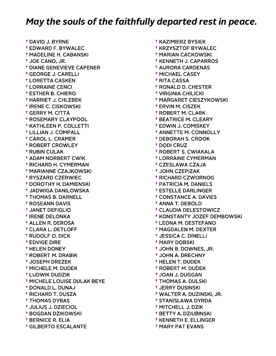† DAVID J. BYRNE † EDWARD F. BYWALEC † MADELINE H. CABANSKI † JOE CANO, JR. † DIANE GENEVIEVE CAPENER † GEORGE J. CARELLI † LORETTA CASKEN † LORRAINE CENCI † ESTHER B. CHIERO † HARRIET J. CHLEBEK † IRENE C. CISKOWSKI † GERRY M. CITTA † ROSEMARY CLAYPOOL † KATHLEEN P. COLLETTI † LILLIAN J. COMPALL † CAROL L. CRAMER † ROBERT CROWLEY † RUBIN CULAK † ADAM NORBERT CWIK † RICHARD H. CYMERMAN † MARIANNE CZAJKOWSKI † RYSZARD CZERWIEC † DOROTHY H. DAMIENSKI † JADWIGA DANILOWSKA † THOMAS B. DARNELL † ROSEANN DAVIS † JANET DEFIGLIO † IRENE DELONKA † ALLEN R. DEROSA † CLARA L. DETLOFF † RUDOLF O. DICK † EDVIGE DIRE † HELEN DONEY † ROBERT M. DRABIK † JOSEPH DREZEK † MICHELE M. DUDEK † LUDWIK DUDZIK † MICHELE LOUISE DULAK BEYE † DONALD L. DUNAJ † RICHARD T. DUSZA † THOMAS DYBAS † JULIUS J. DZIECIOL † BOGDAN DZIKOWSKI † BERNICE R. ELIA † GILBERTO ESCALANTE

 † KAZIMIERZ BYSIEK † KRZYSZTOF BYWALEC † MARIAN CACKOWSKI † KENNETH J. CAPARROS † AURORA CARDENAS † MICHAEL CASEY † RITA CASSA † RONALD D. CHESTER † VIRGINIA CHILICKI † MARGARET CIESZYKOWSKI † ERVIN M. CISZEK † ROBERT M. CLARK † BEATRICE M. CLEARY † EDWIN J. COMISKEY † ANNETTE M. CONNOLLY † DEBORAH S. CROOK † DODI CRUZ † ROBERT S. CWIAKALA † LORRAINE CYMERMAN † CZESLAWA CZAJA † JOHN CZEPIZAK † RICHARD CZWORNOG † PATRICIA M. DANIELS † ESTELLE DARLINGER † CONSTANCE A. DAVIES † ANNA T. DEBOLD † CLAUDIA DELESTOWICZ † KONSTANTY JOZEF DEMBOWSKI † LEONA M. DESTEFANO † MAGDALEN M. DEXTER † JESSICA C. DINELLI † MARY DOBSKI † JOHN B. DOWNES, JR. † JOHN A. DRECHNY † HELEN T. DUDEK † ROBERT M. DUDEK † JOAN J. DUGGAN † THOMAS A. DULSKI † JERRY DUSINSKI † WALTER A. DUZINSKI, JR. † STANISLAWA DYRDA † MITCHELL J. DZIK † BETTY A. DZIUBINSKI

- † KENNETH E. ELLINGER
- † MARY PAT EVANS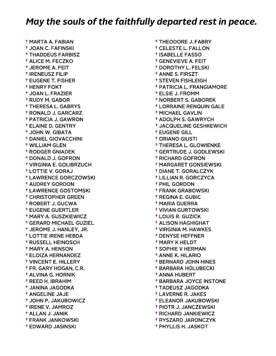† MARTA A. FABIAN † JOAN C. FAFINSKI † THADDEUS FARBISZ † ALICE M. FECZKO † JEROME A. FEIT † IRENEUSZ FILIP † EUGENE T. FISHER † HENRY FOKT † JOAN L. FRAZIER † RUDY M. GABOR † THERESA L. GABRYS † RONALD J. GARCARZ † PATRICIA J. GAWRON † ELAINE D. GENTRY † JOHN W. GIBATA † DANIEL GIOVACCHINI † WILLIAM GLEN † RODGER GNIADEK † DONALD J. GOFRON † VIRGINIA E. GOLIBRZUCH † LOTTIE V. GORAJ † LAWRENCE GORCZOWSKI † AUDREY GORDON † LAWRENCE GOSTOMSKI † CHRISTOPHER GREEN † ROBERT J. GUCWA † EUGENE GUERTLER † MARY A. GUSZKIEWICZ † GERARD MICHAEL GUZIEL † JEROME J. HANLEY, JR. † LOTTIE IRENE HEBDA † RUSSELL HEINOSCH † MARY A. HENSON † ELOIZA HERNANDEZ † VINCENT E. HILLERY † FR. GARY HOGAN, C.R. † ALVINA G. HORNIK † REED H. IBRAHIM † JANINA JAGODKA † ANGELINE JAJE † JOHN P. JAKUBOWICZ † IRENE V. JAMROZ † ALLAN J. JANIK † FRANK JANKOWSKI † EDWARD JASINSKI

 † THEODORE J. FABRY † CELESTE L. FALLON † ISABELLE FASSO † GENEVIEVE A. FEIT † DOROTHY L. FELSKI † ANNE S. FIRSZT † STEVEN FISHLEIGH † PATRICIA L. FRANGIAMORE † ELSIE J. FROMM † NORBERT S. GABOREK † LORRAINE RENQUIN GALE † MICHAEL GAVLIN † ADOLPH S. GAWRYCH † JACQUELINE GESHKEWICH † EUGENE GILL † ORIANO GIUSTI † THERESA L. GLOWIENKE † GERTRUDE J. GODLEWSKI † RICHARD GOFRON † MARGARET GONSIEWSKI † DIANE T. GORALCZYK † LILLIAN R. GORCZYCA † PHIL GORDON † FRANK GRABOWSKI † REGINA E. GUBIC † MARIA GUERRA † VIVIAN GURTOWSKI † LOUIS R. GUZICK † ALISON HAGHIGHAT † VIRGINIA M. HAWKES † DENYSE HEFFNER † MARY K HELDT † SOPHIE V HERMAN † ANNE K. HILARIO † BERNARD JOHN HINES † BARBARA HOLUBECKI † ANNA HUBERT † BARBARA JOYCE INSTONE † TADEUSZ JAGODKA † LAVERNE R. JAKES † ELEANOR JAKUBOWSKI † PIOTR J. JANCZEWSKI † RICHARD JANKIEWICZ

 † RYSZARD JARONCZYK † PHYLLIS H. JASKOT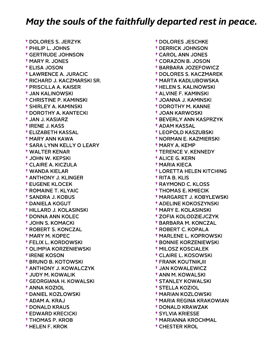† DOLORES S. JERZYK † PHILIP L. JOHNS † GERTRUDE JOHNSON † MARY R. JONES † ELISA JOSON † LAWRENCE A. JURACIC † RICHARD J. KACZMARSKI SR. † PRISCILLA A. KAISER † JAN KALINOWSKI † CHRISTINE P. KAMINSKI † SHIRLEY A. KAMINSKI † DOROTHY A. KANTECKI † JAN J. KASIARZ † IRENE J. KASS † ELIZABETH KASSAL † MARY ANN KAWA † SARA LYNN KELLY O LEARY † WALTER KENAR † JOHN W. KEPSKI † CLAIRE A. KICZULA † WANDA KIELAR † ANTHONY J. KLINGER † EUGENE KLOCEK † ROMAINE T. KLYAIC † SANDRA J. KOBUS † DANIELA KOGUT † HILLARD J. KOLASINSKI † DONNA ANN KOLEC † JOHN S. KOMACKI † ROBERT S. KONCZAL † MARY M. KOPEC † FELIX L. KORDOWSKI † OLIMPIA KORZENIEWSKI † IRENE KOSON † BRUNO B. KOTOWSKI † ANTHONY J. KOWALCZYK † JUDY M. KOWALIK † GEORGIANA H. KOWALSKI † ANNA KOZIOL † DANIEL KOZLOWSKI † ADAM A. KRAJ † DONALD KRAUS † EDWARD KRECICKI † THOMAS P. KROB † HELEN F. KROK

 † DOLORES JESCHKE † DERRICK JOHNSON † CAROL ANN JONES † CORAZON B. JOSON † BARBARA JOZEFOWICZ † DOLORES S. KACZMAREK † MARTA KADLUBOWSKA † HELEN S. KALINOWSKI † ALVINE F. KAMINSKI † JOANNA J. KAMINSKI † DOROTHY M. KANNE † JOAN KARWOSKI † BEVERLY ANN KASPRZYK † ADAM KASSAL † LEOPOLD KASZUBSKI † NORMAN E. KAZMIERSKI † MARY A. KEMP † TERENCE V. KENNEDY † ALICE G. KERN † MARIA KIECA † LORETTA HELEN KITCHING † RITA B. KLIS † RAYMOND C. KLOSS † THOMAS E. KMIECIK † MARGARET J. KOBYLEWSKI † ADELINE KOKOSZYNSKI † MARY E. KOLASINSKI † ZOFIA KOLODZIEJCZYK † BARBARA M. KONCZAL † ROBERT C. KOPALA † MARLENE L. KOPROWSKI † BONNIE KORZENIEWSKI † MILOSZ KOSCIALEK † CLAIRE L. KOSOWSKI † FRANK KOUTNIK,III † JAN KOWALEWICZ † ANN M. KOWALSKI † STANLEY KOWALSKI † STELLA KOZIOL † MARIAN KOZLOWSKI † MARIA REGINA KRAKOWIAN † DONALD KRAWZAK † SYLVIA KRIESSE † MARIANNA KROCHMAL

† CHESTER KROL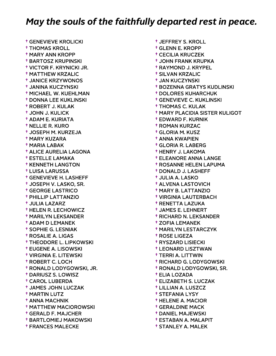† GENEVIEVE KROLICKI † THOMAS KROLL † MARY ANN KROPP † BARTOSZ KRUPINSKI † VICTOR F. KRYNICKI JR. † MATTHEW KRZALIC † JANICE KRZYWONOS † JANINA KUCZYNSKI † MICHAEL W. KUEHLMAN † DONNA LEE KUKLINSKI † ROBERT J. KULAK † JOHN J. KULICK † ADAM E. KURIATA † NELLIE R. KURO † JOSEPH M. KURZEJA † MARY KUZARA † MARIA LABAK † ALICE AURELIA LAGONA † ESTELLE LAMAKA † KENNETH LANGTON † LUISA LARUSSA † GENEVIEVE H. LASHEFF † JOSEPH V. LASKO, SR. † GEORGE LASTRICO † PHILLIP LATTANZIO † JULIA LAZARZ † HELEN R. LECHOWICZ † MARILYN LEKSANDER † ADAM D LEMANEK † SOPHIE G. LESNIAK † ROSALIE A. LIGAS † THEODORE L. LIPKOWSKI † EUGENE A. LISOWSKI † VIRGINIA E. LITEWSKI † ROBERT C. LOCH † RONALD LODYGOWSKI, JR. † DARIUSZ S. LOWISZ † CAROL LUBERDA † JAMES JOHN LUCZAK † MARTIN LUTZ † ANNA MACHNIK † MATTHEW MACIOROWSKI † GERALD F. MAJCHER † BARTLOMIEJ MAKOWSKI † FRANCES MALECKE

 † JEFFREY S. KROLL † GLENN E. KROPP † CECILIA KRUCZEK † JOHN FRANK KRUPKA † RAYMOND J. KRYPEL † SILVAN KRZALIC † JAN KUCZYNSKI † BOZENNA GRATYS KUDLINSKI † DOLORES KUHARCHUK † GENEVIEVE C. KUKLINSKI † THOMAS C. KULAK † MARY PLACIDIA SISTER KULIGOT † EDWARD F. KURNIK † ROMAN KURZAC † GLORIA M. KUSZ † ANNA KWAPIEN † GLORIA R. LABERG † HENRY J. LAKOMA † ELEANORE ANNA LANGE † ROSANNE HELEN LAPUMA † DONALD J. LASHEFF † JULIA A. LASKO † ALVENA LASTOVICH † MARY B. LATTANZIO † VIRGINIA LAUTERBACH † RENETTA LAZUKA † JAMES E. LEHNERT † RICHARD N. LEKSANDER † ZOFIA LEMANEK † MARILYN LESTARCZYK † ROSE LIGEZA † RYSZARD LISIECKI † LEONARD LISZTWAN † TERRI A. LITTWIN † RICHARD G. LODYGOWSKI † RONALD LODYGOWSKI, SR. † ELIA LOZADA † ELIZABETH S. LUCZAK † LILLIAN A. LUSZCZ † STEFANIA LYSY † HELENE A. MACIOR † GERALDINE MACK † DANIEL MAJEWSKI † ESTABAN A. MALAPIT

† STANLEY A. MALEK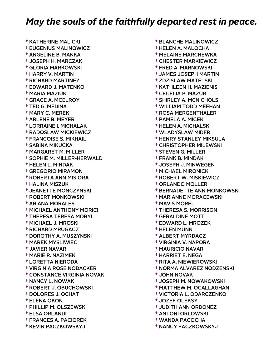† KATHERINE MALICKI † EUGENIUS MALINOWICZ † ANGELINE B. MANKA † JOSEPH H. MARCZAK † GLORIA MARKOWSKI † HARRY V. MARTIN † RICHARD MARTINEZ † EDWARD J. MATENKO † MARIA MAZIUK † GRACE A. MCELROY † TED G. MEDINA † MARY C. MEREK † ARLENE B. MEYER † LORRAINE I. MICHALAK † RADOSLAW MICKIEWICZ † FRANCOISE S. MIKHAIL † SABINA MIKUCKA † MARGARET M. MILLER † SOPHIE M. MILLER-HERWALD † HELEN L. MINDAK † GREGORIO MIRAMON † ROBERTA ANN MISIORA † HALINA MISZUK † JEANETTE MONCZYNSKI † ROBERT MONKOWSKI † ARIANA MORALES † MICHAEL ANTHONY MORICI † THERESA TERESA MORYL † MICHAEL J. MROSKI † RICHARD MRUGACZ † DOROTHY A. MUSZYNSKI † MAREK MYSLIWIEC † JAVIER NAVAR † MARIE R. NAZIMEK † LORETTA NIERODA † VIRGINIA ROSE NODACKER † CONSTANCE VIRGINIA NOVAK † NANCY L. NOWAK † ROBERT J. OBUCHOWSKI † DOLORES J. OCHAT † ELENA OKON † PHILLIP M. OLSZEWSKI † ELSA ORLANDI † FRANCES A. PACIOREK † KEVIN PACZKOWSKYJ

 † BLANCHE MALINOWICZ † HELEN A. MALOCHA † MELAINE MARCHEWKA † CHESTER MARKIEWICZ † FRED A. MARNOWSKI † JAMES JOSEPH MARTIN † ZDZISLAW MATELSKI † KATHLEEN H. MAZIENIS † CECELIA P. MAZUR † SHIRLEY A. MCNICHOLS † WILLIAM TODD MEEHAN † ROSA MERGENTHALER † PAMELA A. MICEK † HELEN A. MICHALSKI † WLADYSLAW MIDER † HENRY STANLEY MIKSULA † CHRISTOPHER MILEWSKI † STEVEN G. MILLER † FRANK B. MINDAK † JOSEPH J. MINWEGEN † MICHAEL MIRONICKI † ROBERT W. MISKIEWICZ † ORLANDO MOLLER † BERNADETTE ANN MONKOWSKI † MARIANNE MORACEWSKI † MAVIS MOREL † THERESA S. MORRISON † GERALDINE MOTT † EDWARD L. MROZEK † HELEN MUNN † ALBERT MYRDACZ † VIRGINIA V. NAPORA † MAURICIO NAVAR † HARRIET E. NEGA † RITA A. NIEWIEROWSKI † NORMA ALVAREZ NODZENSKI † JOHN NOVAK † JOSEPH M. NOWAKOWSKI † MATTHEW M. OCALLAGHAN † VICTORIA L. ODARCZENKO † JOZEF OLEKSY † JUDITH ANN ORDONEZ † ANTONI ORLOWSKI † WANDA PACOCHA

† NANCY PACZKOWSKYJ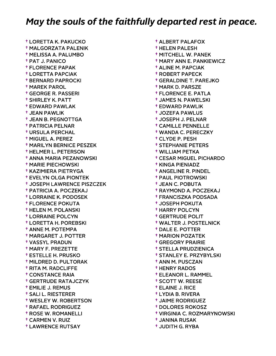† LORETTA K. PAKUCKO † MALGORZATA PALENIK † MELISSA A. PALUMBO † PAT J. PANICO † FLORENCE PAPAK † LORETTA PAPCIAK † BERNARD PAPROCKI † MAREK PAROL † GEORGE R. PASSERI † SHIRLEY K. PATT † EDWARD PAWLAK † JEAN PAWLIK † JEAN B. PEGNOTTGA † PATRICIA PELNAR † URSULA PERCHAL † MIGUEL A. PEREZ † MARILYN BERNICE PESZEK † HELMER L. PETERSON † ANNA MARIA PEZANOWSKI † MARIE PIECHOWSKI † KAZIMIERA PIETRYGA † EVELYN OLGA PIONTEK † JOSEPH LAWRENCE PISZCZEK † PATRICIA A. POCZEKAJ † LORRAINE K. PODOSEK † FLORENCE POKUTA † HELEN M. POLANSKI † LORRAINE POLCYN † LORETTA H. POREBSKI † ANNE M. POTEMPA † MARGARET J. POTTER † VASSYL PRADUN † MARY F. PREZETTE † ESTELLE H. PRUSKO † MILDRED D. PULTORAK † RITA M. RADCLIFFE † CONSTANCE RAIA † GERTRUDE RATAJCZYK † EMILIE J. REMUS † SALI L. RIESTERER † WESLEY W. ROBERTSON † RAFAEL RODRIGUEZ † ROSE W. ROMANELLI † CARMEN V. RUIZ † LAWRENCE RUTSAY

 † ALBERT PALAFOX † HELEN PALESH † MITCHELL W. PANEK † MARY ANN E. PANKIEWICZ † ALINE M. PAPCIAK † ROBERT PAPECK † GERALDINE T. PAREJKO † MARK D. PARSZE † FLORENCE E. PATLA † JAMES N. PAWELSKI † EDWARD PAWLIK † JOZEFA PAWLUS † JOSEPH J. PELNAR † CAMILLE PENNELLE † WANDA C. PERECZKY † CLYDE P. PESH † STEPHANIE PETERS † WILLIAM PETKA † CESAR MIGUEL PICHARDO † KINGA PIENIADZ † ANGELINE R. PINDEL † PAUL PIOTROWSKI † JEAN C. POBUTA † RAYMOND A. POCZEKAJ † FRANCISZKA PODSADA † JOSEPH POKUTA † HARRY POLCYN † GERTRUDE POLIT † WALTER J. POSTELNICK † DALE E. POTTER † MARION POZATEK † GREGORY PRAIRIE † STELLA PRUDZIENICA † STANLEY E. PRZYBYLSKI † ANN M. PUSCZAN † HENRY RADOS † ELEANOR L. RAMMEL † SCOTT W. REESE † ELAINE J. RICE † LYDIA B. RIVERA † JAIME RODRIGUEZ † DOLORES ROKOSZ † VIRGINIA C. ROZMARYNOWSKI

- † JANINA RUSAK
- † JUDITH G. RYBA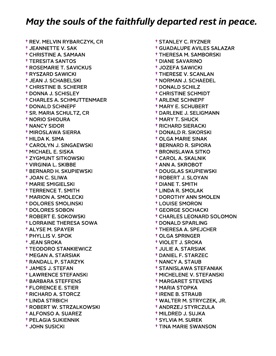† REV. MELVIN RYBARCZYK, CR † JEANNETTE V. SAK † CHRISTINE A. SAMAAN † TERESITA SANTOS † ROSEMARIE T. SAVICKUS † RYSZARD SAWICKI † JEAN J. SCHABELSKI † CHRISTINE B. SCHERER † DONNA J. SCHISLEY † CHARLES A. SCHMUTTENMAER † DONALD SCHNEPF † SR. MARIA SCHULTZ, CR † NORIO SHIOURA † NANCY SIDOR † MIROSLAWA SIERRA † HILDA K. SIMA † CAROLYN J. SINGAEWSKI † MICHAEL E. SISKA † ZYGMUNT SITKOWSKI † VIRGINIA L. SKIBBE † BERNARD H. SKUPIEWSKI † JOAN C. SLIWA † MARIE SMIGIELSKI † TERRENCE T. SMITH † MARION A. SMOLECKI † DOLORES SMOLINSKI † DOLORES SOBON † ROBERT E. SOKOWSKI † LORRAINE THERESA SOWA † ALYSE M. SPAYER † PHYLLIS V. SPOK † JEAN SROKA † TEODORO STANKIEWICZ † MEGAN A. STARSIAK † RANDALL P. STARZYK † JAMES J. STEFAN † LAWRENCE STEFANSKI † BARBARA STEFFENS † FLORENCE E. STIER † RICHARD A. STORCZ † LINDA STRBICH † ROBERT W. STRZALKOWSKI † ALFONSO A. SUAREZ † PELAGIA SUKIENNIK † JOHN SUSICKI

 † STANLEY C. RYZNER † GUADALUPE AVILES SALAZAR † THERESA M. SAMBORSKI † DIANE SAVARINO † JOZEFA SAWICKI † THERESE V. SCANLAN † NORMAN J. SCHAEDEL † DONALD SCHILZ † CHRISTINE SCHMIDT † ARLENE SCHNEPF † MARY E. SCHUBERT † DARLENE J. SELIGMANN † MARY T. SHUCK † RICHARD SIERACKI † DONALD R. SIKORSKI † OLGA MARIE SINAK † BERNARD R. SIPIORA † BRONISLAWA SITKO † CAROL A. SKALNIK † ANN A. SKROBOT † DOUGLAS SKUPIEWSKI † ROBERT J. SLOYAN † DIANE T. SMITH † LINDA R. SMOLAK † DOROTHY ANN SMOLEN † LOUISE SMORON † GEORGE SOCHACKI † CHARLES LEONARD SOLOMON † DONALD SPARLING † THERESA A. SPEJCHER † OLGA SPRINGER † VIOLET J. SROKA † JULIE A. STARSIAK † DANIEL F. STARZEC † NANCY A. STAUB † STANISLAWA STEFANIAK † MICHELENE V. STEFANSKI † MARGARET STEVENS † MARIA STOPKA † IRENE B. STRAUB † WALTER M. STRYCZEK, JR. † ANDRZEJ STYRCZULA † MILDRED J. SUJKA † SYLVIA M. SUREK † TINA MARIE SWANSON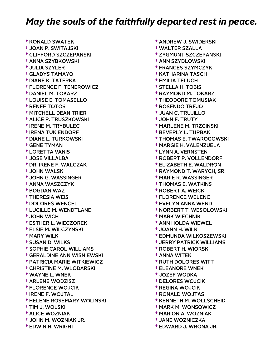† RONALD SWATEK † JOAN P. SWITAJSKI † CLIFFORD SZCZEPANSKI † ANNA SZYBKOWSKI † JULIA SZYLER † GLADYS TAMAYO † DIANE K. TATERKA † FLORENCE F. TENEROWICZ † DANIEL M. TOKARZ † LOUISE E. TOMASELLO † RENEE TOTOS † MITCHELL DEAN TRIER † ALICE P. TRUSZKOWSKI † IRENE M. TRYBULEC † IRENA TUKIENDORF † DIANE L. TURKOWSKI † GENE TYMAN † LORETTA VANIS † JOSE VILLALBA † DR. IRENE F. WALCZAK † JOHN WALSKI † JOHN G. WASSINGER † ANNA WASZCZYK † BOGDAN WAZ † THERESIA WEIS † DOLORES WENCEL † LUCILLE M. WENDTLAND † JOHN WICH † ESTHER L. WIECZOREK † ELSIE M. WILCZYNSKI † MARY WILK † SUSAN D. WILKS † SOPHIE CAROL WILLIAMS † GERALDINE ANN WISNIEWSKI † PATRICIA MARIE WITKIEWICZ † CHRISTINE M. WLODARSKI † WAYNE L. WNEK † ARLENE WODZISZ † FLORENCE WOJCIK † IRENE F. WOJTAL † HELENE ROSEMARY WOLINSKI † TIM J. WOLSKI † ALICE WOZNIAK † JOHN M. WOZNIAK JR. † EDWIN H. WRIGHT

 † ANDREW J. SWIDERSKI † WALTER SZALLA † ZYGMUNT SZCZEPANSKI † ANN SZYDLOWSKI † FRANCES SZYMCZYK † KATHARINA TASCH † EMILIA TELUCH † STELLA H. TOBIS † RAYMOND M. TOKARZ † THEODORE TOMUSIAK † ROSENDO TREJO † JUAN C. TRUJILLO † JOHN F. TRUTY † MARLENE M. TRZCINSKI † BEVERLY L. TURBAK † THOMAS E. TWAROGOWSKI † MARGIE H. VALENZUELA † LYNN A. VERNSTEN † ROBERT P. VOLLENDORF † ELIZABETH E. WALDRON † RAYMOND T. WARYCH, SR. † MARIE R. WASSINGER † THOMAS E. WATKINS † ROBERT A. WEICK † FLORENCE WELENC † EVELYN ANNA WEND † NORBERT T. WESOLOWSKI † MARK WIECHNIK † ANN HOLDA WIEWEL † JOANN H. WILK † EDMUNDA WILKOSZEWSKI † JERRY PATRICK WILLIAMS † ROBERT H. WIORSKI † ANNA WITEK † RUTH DOLORES WITT † ELEANORE WNEK † JOZEF WODKA † DELORES WOJCIK † REGINA WOJCIK † RONALD WOJTAS † KENNETH M. WOLLSCHEID † MARK M. WONSOWICZ † MARION A. WOZNIAK † JANE WOZNICZKA

† EDWARD J. WRONA JR.